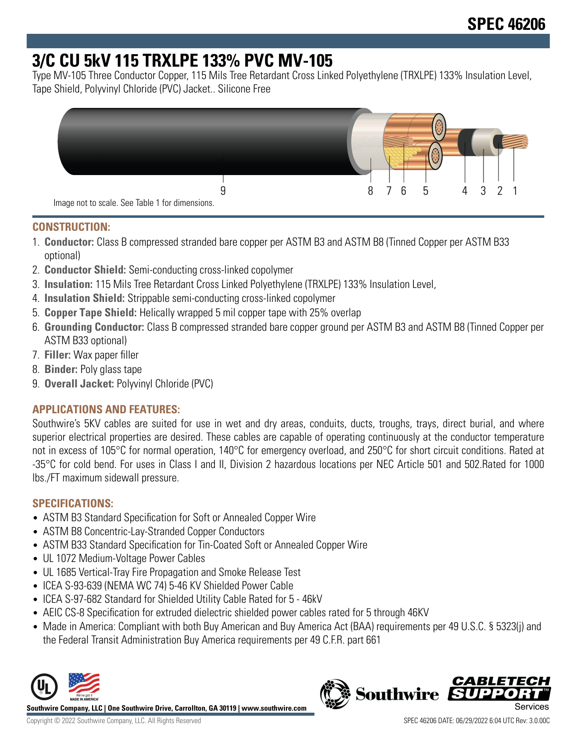# **3/C CU 5kV 115 TRXLPE 133% PVC MV-105**

Type MV-105 Three Conductor Copper, 115 Mils Tree Retardant Cross Linked Polyethylene (TRXLPE) 133% Insulation Level, Tape Shield, Polyvinyl Chloride (PVC) Jacket.. Silicone Free



### **CONSTRUCTION:**

- 1. **Conductor:** Class B compressed stranded bare copper per ASTM B3 and ASTM B8 (Tinned Copper per ASTM B33 optional)
- 2. **Conductor Shield:** Semi-conducting cross-linked copolymer
- 3. **Insulation:** 115 Mils Tree Retardant Cross Linked Polyethylene (TRXLPE) 133% Insulation Level,
- 4. **Insulation Shield:** Strippable semi-conducting cross-linked copolymer
- 5. **Copper Tape Shield:** Helically wrapped 5 mil copper tape with 25% overlap
- 6. **Grounding Conductor:** Class B compressed stranded bare copper ground per ASTM B3 and ASTM B8 (Tinned Copper per ASTM B33 optional)
- 7. **Filler:** Wax paper filler
- 8. **Binder:** Poly glass tape
- 9. **Overall Jacket:** Polyvinyl Chloride (PVC)

## **APPLICATIONS AND FEATURES:**

Southwire's 5KV cables are suited for use in wet and dry areas, conduits, ducts, troughs, trays, direct burial, and where superior electrical properties are desired. These cables are capable of operating continuously at the conductor temperature not in excess of 105°C for normal operation, 140°C for emergency overload, and 250°C for short circuit conditions. Rated at -35°C for cold bend. For uses in Class I and II, Division 2 hazardous locations per NEC Article 501 and 502.Rated for 1000 lbs./FT maximum sidewall pressure.

## **SPECIFICATIONS:**

- ASTM B3 Standard Specification for Soft or Annealed Copper Wire
- ASTM B8 Concentric-Lay-Stranded Copper Conductors
- ASTM B33 Standard Specification for Tin-Coated Soft or Annealed Copper Wire
- UL 1072 Medium-Voltage Power Cables
- UL 1685 Vertical-Tray Fire Propagation and Smoke Release Test
- ICEA S-93-639 (NEMA WC 74) 5-46 KV Shielded Power Cable
- ICEA S-97-682 Standard for Shielded Utility Cable Rated for 5 46kV
- AEIC CS-8 Specification for extruded dielectric shielded power cables rated for 5 through 46KV
- Made in America: Compliant with both Buy American and Buy America Act (BAA) requirements per 49 U.S.C. § 5323(j) and the Federal Transit Administration Buy America requirements per 49 C.F.R. part 661



**Southwire Company, LLC | One Southwire Drive, Carrollton, GA 30119 | www.southwire.com**